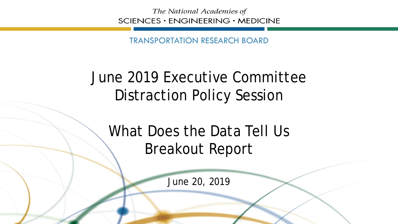The National Academies of SCIENCES · ENGINEERING · MEDICINE

TRANSPORTATION RESEARCH BOARD

## June 2019 Executive Committee Distraction Policy Session

What Does the Data Tell Us Breakout Report

June 20, 2019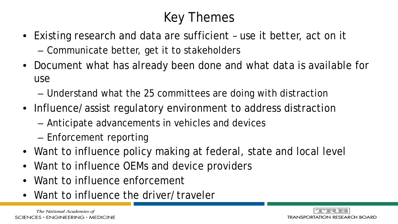## Key Themes

- Existing research and data are sufficient use it better, act on it – Communicate better, get it to stakeholders
- Document what has already been done and what data is available for use
	- Understand what the 25 committees are doing with distraction
- Influence/assist regulatory environment to address distraction
	- Anticipate advancements in vehicles and devices
	- Enforcement reporting
- Want to influence policy making at federal, state and local level
- Want to influence OEMs and device providers
- Want to influence enforcement
- Want to influence the driver/traveler